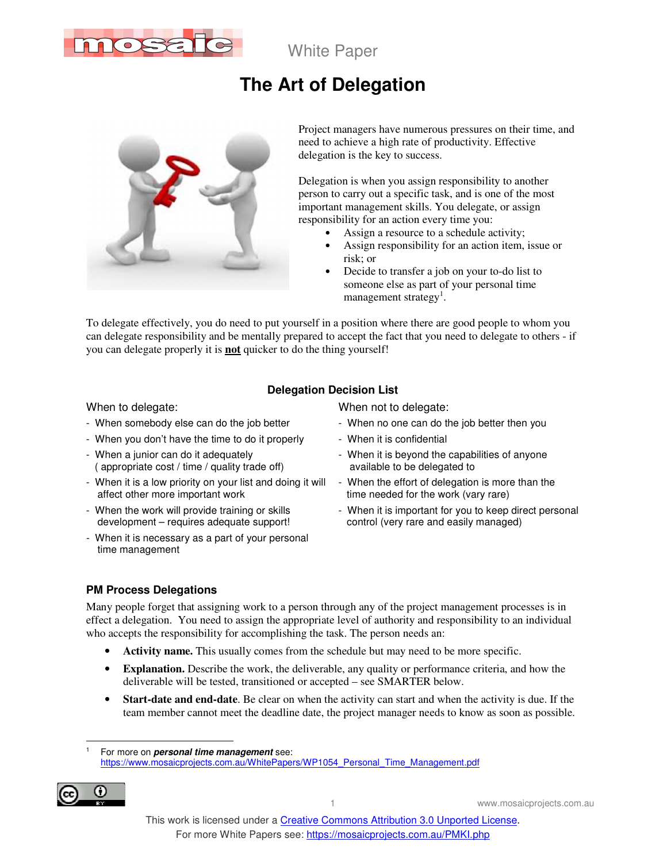

# **The Art of Delegation**



Project managers have numerous pressures on their time, and need to achieve a high rate of productivity. Effective delegation is the key to success.

Delegation is when you assign responsibility to another person to carry out a specific task, and is one of the most important management skills. You delegate, or assign responsibility for an action every time you:

- Assign a resource to a schedule activity;
- Assign responsibility for an action item, issue or risk; or
- Decide to transfer a job on your to-do list to someone else as part of your personal time management strategy<sup>1</sup>.

To delegate effectively, you do need to put yourself in a position where there are good people to whom you can delegate responsibility and be mentally prepared to accept the fact that you need to delegate to others - if you can delegate properly it is **not** quicker to do the thing yourself!

### **Delegation Decision List**

- 
- When you don't have the time to do it properly When it is confidential
- When a junior can do it adequately ( appropriate cost / time / quality trade off)
- When it is a low priority on your list and doing it will affect other more important work
- When the work will provide training or skills development – requires adequate support!
- When it is necessary as a part of your personal time management

When to delegate: When not to delegate:

- When somebody else can do the job better When no one can do the job better then you
	-
	- When it is beyond the capabilities of anyone available to be delegated to
	- When the effort of delegation is more than the time needed for the work (vary rare)
	- When it is important for you to keep direct personal control (very rare and easily managed)

#### **PM Process Delegations**

Many people forget that assigning work to a person through any of the project management processes is in effect a delegation. You need to assign the appropriate level of authority and responsibility to an individual who accepts the responsibility for accomplishing the task. The person needs an:

- **Activity name.** This usually comes from the schedule but may need to be more specific.
- **Explanation.** Describe the work, the deliverable, any quality or performance criteria, and how the deliverable will be tested, transitioned or accepted – see SMARTER below.
- **Start-date and end-date**. Be clear on when the activity can start and when the activity is due. If the team member cannot meet the deadline date, the project manager needs to know as soon as possible.

 $\overline{a}$ 1 For more on **personal time management** see: https://www.mosaicprojects.com.au/WhitePapers/WP1054\_Personal\_Time\_Management.pdf

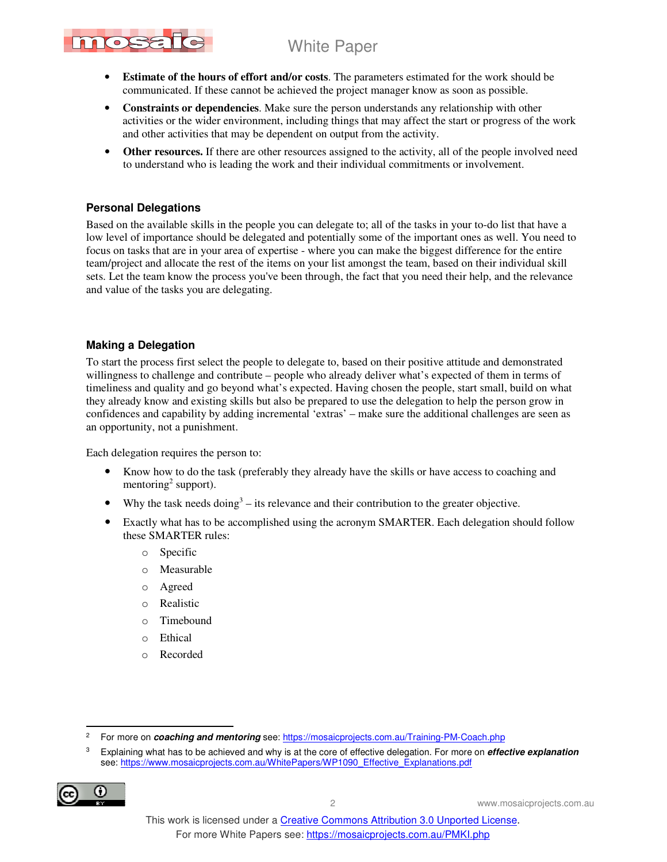

- **Estimate of the hours of effort and/or costs**. The parameters estimated for the work should be communicated. If these cannot be achieved the project manager know as soon as possible.
- **Constraints or dependencies**. Make sure the person understands any relationship with other activities or the wider environment, including things that may affect the start or progress of the work and other activities that may be dependent on output from the activity.
- Other resources. If there are other resources assigned to the activity, all of the people involved need to understand who is leading the work and their individual commitments or involvement.

#### **Personal Delegations**

Based on the available skills in the people you can delegate to; all of the tasks in your to-do list that have a low level of importance should be delegated and potentially some of the important ones as well. You need to focus on tasks that are in your area of expertise - where you can make the biggest difference for the entire team/project and allocate the rest of the items on your list amongst the team, based on their individual skill sets. Let the team know the process you've been through, the fact that you need their help, and the relevance and value of the tasks you are delegating.

#### **Making a Delegation**

To start the process first select the people to delegate to, based on their positive attitude and demonstrated willingness to challenge and contribute – people who already deliver what's expected of them in terms of timeliness and quality and go beyond what's expected. Having chosen the people, start small, build on what they already know and existing skills but also be prepared to use the delegation to help the person grow in confidences and capability by adding incremental 'extras' – make sure the additional challenges are seen as an opportunity, not a punishment.

Each delegation requires the person to:

- Know how to do the task (preferably they already have the skills or have access to coaching and mentoring<sup>2</sup> support).
- Why the task needs  $\text{doing}^3$  its relevance and their contribution to the greater objective.
- Exactly what has to be accomplished using the acronym SMARTER. Each delegation should follow these SMARTER rules:
	- o Specific
	- o Measurable
	- o Agreed
	- o Realistic
	- o Timebound
	- o Ethical
	- o Recorded

<sup>3</sup> Explaining what has to be achieved and why is at the core of effective delegation. For more on **effective explanation** see: https://www.mosaicprojects.com.au/WhitePapers/WP1090\_Effective\_Explanations.pdf



 $\overline{2}$ For more on **coaching and mentoring** see: https://mosaicprojects.com.au/Training-PM-Coach.php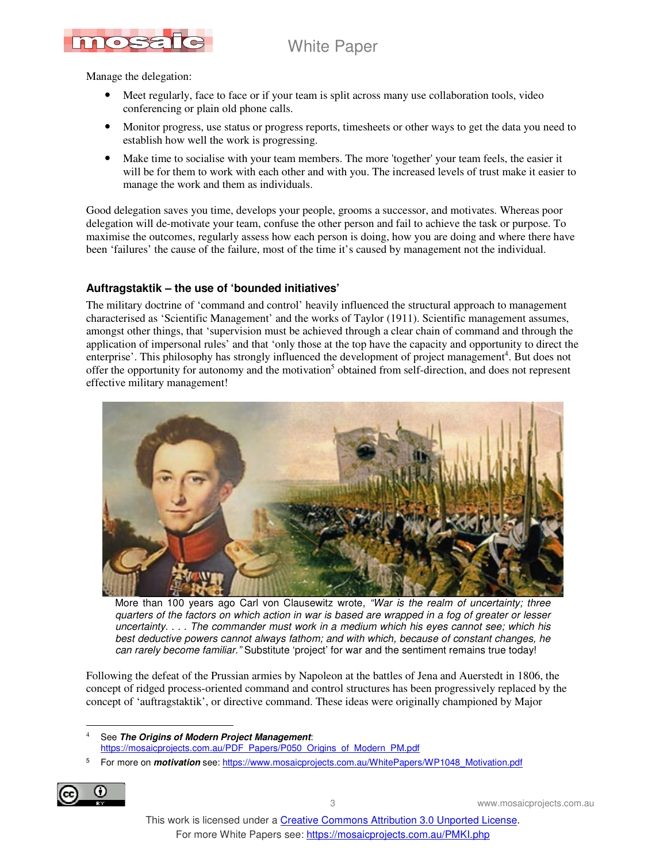

Manage the delegation:

- Meet regularly, face to face or if your team is split across many use collaboration tools, video conferencing or plain old phone calls.
- Monitor progress, use status or progress reports, timesheets or other ways to get the data you need to establish how well the work is progressing.
- Make time to socialise with your team members. The more 'together' your team feels, the easier it will be for them to work with each other and with you. The increased levels of trust make it easier to manage the work and them as individuals.

Good delegation saves you time, develops your people, grooms a successor, and motivates. Whereas poor delegation will de-motivate your team, confuse the other person and fail to achieve the task or purpose. To maximise the outcomes, regularly assess how each person is doing, how you are doing and where there have been 'failures' the cause of the failure, most of the time it's caused by management not the individual.

#### **Auftragstaktik – the use of 'bounded initiatives'**

The military doctrine of 'command and control' heavily influenced the structural approach to management characterised as 'Scientific Management' and the works of Taylor (1911). Scientific management assumes, amongst other things, that 'supervision must be achieved through a clear chain of command and through the application of impersonal rules' and that 'only those at the top have the capacity and opportunity to direct the enterprise'. This philosophy has strongly influenced the development of project management<sup>4</sup>. But does not offer the opportunity for autonomy and the motivation<sup>5</sup> obtained from self-direction, and does not represent effective military management!



More than 100 years ago Carl von Clausewitz wrote, "War is the realm of uncertainty; three quarters of the factors on which action in war is based are wrapped in a fog of greater or lesser uncertainty. . . . The commander must work in a medium which his eyes cannot see; which his best deductive powers cannot always fathom; and with which, because of constant changes, he can rarely become familiar." Substitute 'project' for war and the sentiment remains true today!

Following the defeat of the Prussian armies by Napoleon at the battles of Jena and Auerstedt in 1806, the concept of ridged process-oriented command and control structures has been progressively replaced by the concept of 'auftragstaktik', or directive command. These ideas were originally championed by Major

4 See **The Origins of Modern Project Management**: https://mosaicprojects.com.au/PDF\_Papers/P050\_Origins\_of\_Modern\_PM.pdf

<sup>5</sup> For more on *motivation* see: https://www.mosaicprojects.com.au/WhitePapers/WP1048\_Motivation.pdf



 $\overline{a}$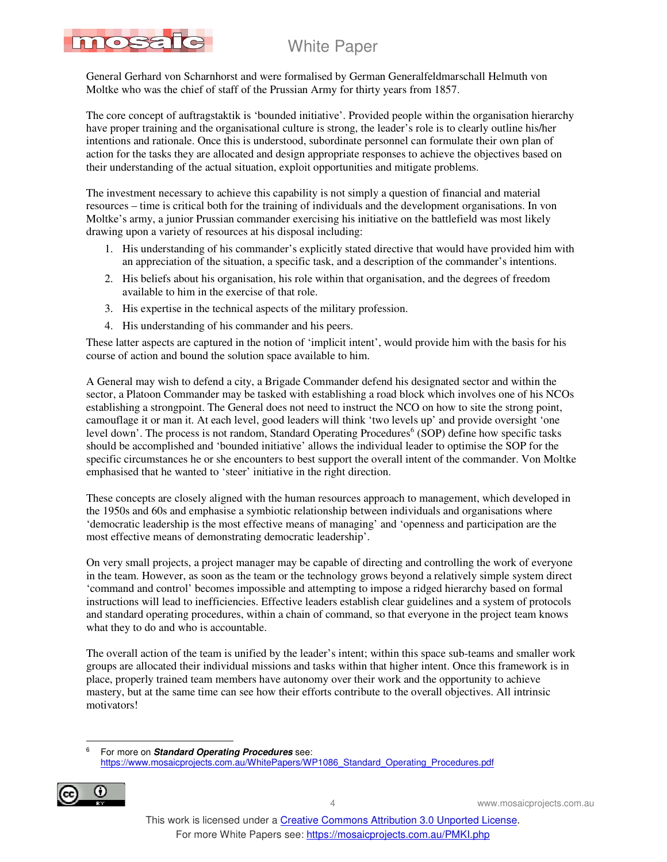

General Gerhard von Scharnhorst and were formalised by German Generalfeldmarschall Helmuth von Moltke who was the chief of staff of the Prussian Army for thirty years from 1857.

The core concept of auftragstaktik is 'bounded initiative'. Provided people within the organisation hierarchy have proper training and the organisational culture is strong, the leader's role is to clearly outline his/her intentions and rationale. Once this is understood, subordinate personnel can formulate their own plan of action for the tasks they are allocated and design appropriate responses to achieve the objectives based on their understanding of the actual situation, exploit opportunities and mitigate problems.

The investment necessary to achieve this capability is not simply a question of financial and material resources – time is critical both for the training of individuals and the development organisations. In von Moltke's army, a junior Prussian commander exercising his initiative on the battlefield was most likely drawing upon a variety of resources at his disposal including:

- 1. His understanding of his commander's explicitly stated directive that would have provided him with an appreciation of the situation, a specific task, and a description of the commander's intentions.
- 2. His beliefs about his organisation, his role within that organisation, and the degrees of freedom available to him in the exercise of that role.
- 3. His expertise in the technical aspects of the military profession.
- 4. His understanding of his commander and his peers.

These latter aspects are captured in the notion of 'implicit intent', would provide him with the basis for his course of action and bound the solution space available to him.

A General may wish to defend a city, a Brigade Commander defend his designated sector and within the sector, a Platoon Commander may be tasked with establishing a road block which involves one of his NCOs establishing a strongpoint. The General does not need to instruct the NCO on how to site the strong point, camouflage it or man it. At each level, good leaders will think 'two levels up' and provide oversight 'one level down'. The process is not random, Standard Operating Procedures<sup>6</sup> (SOP) define how specific tasks should be accomplished and 'bounded initiative' allows the individual leader to optimise the SOP for the specific circumstances he or she encounters to best support the overall intent of the commander. Von Moltke emphasised that he wanted to 'steer' initiative in the right direction.

These concepts are closely aligned with the human resources approach to management, which developed in the 1950s and 60s and emphasise a symbiotic relationship between individuals and organisations where 'democratic leadership is the most effective means of managing' and 'openness and participation are the most effective means of demonstrating democratic leadership'.

On very small projects, a project manager may be capable of directing and controlling the work of everyone in the team. However, as soon as the team or the technology grows beyond a relatively simple system direct 'command and control' becomes impossible and attempting to impose a ridged hierarchy based on formal instructions will lead to inefficiencies. Effective leaders establish clear guidelines and a system of protocols and standard operating procedures, within a chain of command, so that everyone in the project team knows what they to do and who is accountable.

The overall action of the team is unified by the leader's intent; within this space sub-teams and smaller work groups are allocated their individual missions and tasks within that higher intent. Once this framework is in place, properly trained team members have autonomy over their work and the opportunity to achieve mastery, but at the same time can see how their efforts contribute to the overall objectives. All intrinsic motivators!

-<br>6 For more on **Standard Operating Procedures** see: https://www.mosaicprojects.com.au/WhitePapers/WP1086\_Standard\_Operating\_Procedures.pdf

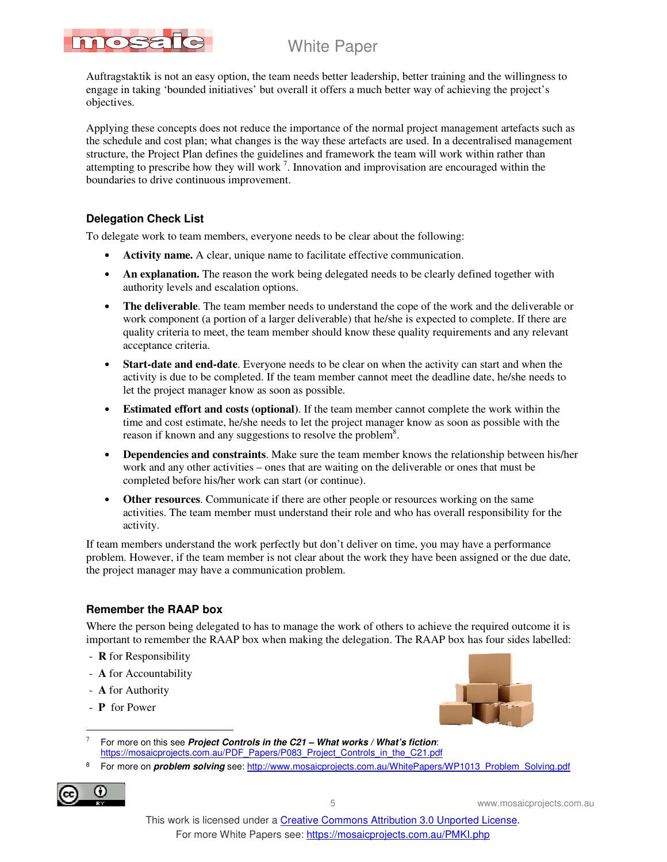

Auftragstaktik is not an easy option, the team needs better leadership, better training and the willingness to engage in taking 'bounded initiatives' but overall it offers a much better way of achieving the project's objectives.

Applying these concepts does not reduce the importance of the normal project management artefacts such as the schedule and cost plan; what changes is the way these artefacts are used. In a decentralised management structure, the Project Plan defines the guidelines and framework the team will work within rather than attempting to prescribe how they will work<sup>7</sup>. Innovation and improvisation are encouraged within the boundaries to drive continuous improvement.

### **Delegation Check List**

To delegate work to team members, everyone needs to be clear about the following:

- **Activity name.** A clear, unique name to facilitate effective communication.
- An explanation. The reason the work being delegated needs to be clearly defined together with authority levels and escalation options.
- **The deliverable**. The team member needs to understand the cope of the work and the deliverable or work component (a portion of a larger deliverable) that he/she is expected to complete. If there are quality criteria to meet, the team member should know these quality requirements and any relevant acceptance criteria.
- **Start-date and end-date**. Everyone needs to be clear on when the activity can start and when the activity is due to be completed. If the team member cannot meet the deadline date, he/she needs to let the project manager know as soon as possible.
- **Estimated effort and costs (optional)**. If the team member cannot complete the work within the time and cost estimate, he/she needs to let the project manager know as soon as possible with the reason if known and any suggestions to resolve the problem<sup>8</sup>.
- **Dependencies and constraints**. Make sure the team member knows the relationship between his/her work and any other activities – ones that are waiting on the deliverable or ones that must be completed before his/her work can start (or continue).
- **Other resources**. Communicate if there are other people or resources working on the same activities. The team member must understand their role and who has overall responsibility for the activity.

If team members understand the work perfectly but don't deliver on time, you may have a performance problem. However, if the team member is not clear about the work they have been assigned or the due date, the project manager may have a communication problem.

### **Remember the RAAP box**

Where the person being delegated to has to manage the work of others to achieve the required outcome it is important to remember the RAAP box when making the delegation. The RAAP box has four sides labelled:

- **R** for Responsibility
- **A** for Accountability
- **A** for Authority
- **P** for Power



- $\ddot{\phantom{a}}$ 7 For more on this see **Project Controls in the C21 – What works / What's fiction**: https://mosaicprojects.com.au/PDF\_Papers/P083\_Project\_Controls\_in\_the\_C21.pdf
- 8 For more on **problem solving** see: http://www.mosaicprojects.com.au/WhitePapers/WP1013\_Problem\_Solving.pdf